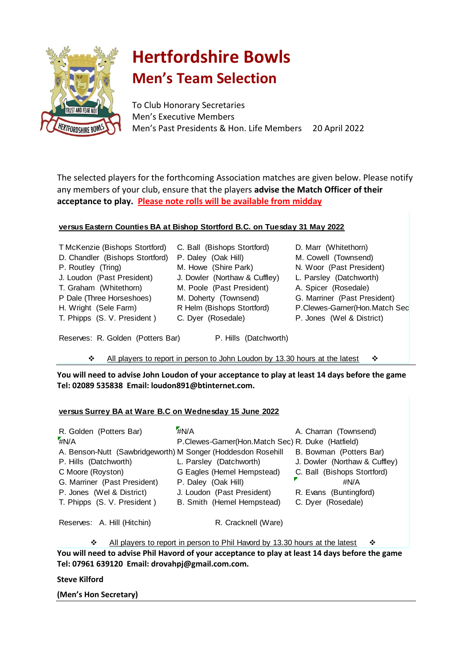

# **Hertfordshire Bowls Men's Team Selection**

To Club Honorary Secretaries Men's Executive Members Men's Past Presidents & Hon. Life Members 20 April 2022

The selected players for the forthcoming Association matches are given below. Please notify any members of your club, ensure that the players **advise the Match Officer of their acceptance to play. Please note rolls will be available from midday**

### **versus Eastern Counties BA at Bishop Stortford B.C. on Tuesday 31 May 2022**

| T McKenzie (Bishops Stortford)  | C. Ball (Bishops Stortford)   | D. Marr (Whitethorn)           |
|---------------------------------|-------------------------------|--------------------------------|
| D. Chandler (Bishops Stortford) | P. Daley (Oak Hill)           | M. Cowell (Townsend)           |
| P. Routley (Tring)              | M. Howe (Shire Park)          | N. Woor (Past President)       |
| J. Loudon (Past President)      | J. Dowler (Northaw & Cuffley) | L. Parsley (Datchworth)        |
| T. Graham (Whitethorn)          | M. Poole (Past President)     | A. Spicer (Rosedale)           |
| P Dale (Three Horseshoes)       | M. Doherty (Townsend)         | G. Marriner (Past President)   |
| H. Wright (Sele Farm)           | R Helm (Bishops Stortford)    | P.Clewes-Garner(Hon.Match Sec) |
| T. Phipps (S. V. President)     | C. Dyer (Rosedale)            | P. Jones (Wel & District)      |
|                                 |                               |                                |

Reserves: R. Golden (Potters Bar) P. Hills (Datchworth)

All players to report in person to John Loudon by 13.30 hours at the latest  $\cdot \cdot$ 

**You will need to advise John Loudon of your acceptance to play at least 14 days before the game Tel: 02089 535838 Email: loudon891@btinternet.com.**

#### **versus Surrey BA at Ware B.C on Wednesday 15 June 2022**

| R. Golden (Potters Bar)                                      | #N/A                                              | A. Charran (Townsend)         |
|--------------------------------------------------------------|---------------------------------------------------|-------------------------------|
| #N/A                                                         | P.Clewes-Garner(Hon.Match Sec) R. Duke (Hatfield) |                               |
| A. Benson-Nutt (Sawbridgeworth) M Songer (Hoddesdon Rosehill |                                                   | B. Bowman (Potters Bar)       |
| P. Hills (Datchworth)                                        | L. Parsley (Datchworth)                           | J. Dowler (Northaw & Cuffley) |
| C Moore (Royston)                                            | G Eagles (Hemel Hempstead)                        | C. Ball (Bishops Stortford)   |
| G. Marriner (Past President)                                 | P. Daley (Oak Hill)                               | #N/A                          |
| P. Jones (Wel & District)                                    | J. Loudon (Past President)                        | R. Evans (Buntingford)        |
| T. Phipps (S. V. President)                                  | B. Smith (Hemel Hempstead)                        | C. Dyer (Rosedale)            |
|                                                              |                                                   |                               |

Reserves: A. Hill (Hitchin)

R. Cracknell (Ware)

**You will need to advise Phil Havord of your acceptance to play at least 14 days before the game Tel: 07961 639120 Email: drovahpj@gmail.com.com.** All players to report in person to Phil Havord by 13.30 hours at the latest  $\cdot$ 

#### **Steve Kilford**

**(Men's Hon Secretary)**